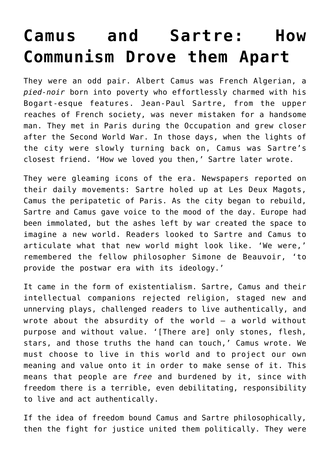## **[Camus and Sartre: How](https://intellectualtakeout.org/2017/01/camus-and-sartre-how-communism-drove-them-apart/) [Communism Drove them Apart](https://intellectualtakeout.org/2017/01/camus-and-sartre-how-communism-drove-them-apart/)**

They were an odd pair. Albert Camus was French Algerian, a *pied-noir* born into poverty who effortlessly charmed with his Bogart-esque features. Jean-Paul Sartre, from the upper reaches of French society, was never mistaken for a handsome man. They met in Paris during the Occupation and grew closer after the Second World War. In those days, when the lights of the city were slowly turning back on, Camus was Sartre's closest friend. 'How we loved you then,' Sartre later wrote.

They were gleaming icons of the era. Newspapers reported on their daily movements: Sartre holed up at Les Deux Magots, Camus the peripatetic of Paris. As the city began to rebuild, Sartre and Camus gave voice to the mood of the day. Europe had been immolated, but the ashes left by war created the space to imagine a new world. Readers looked to Sartre and Camus to articulate what that new world might look like. 'We were,' remembered the fellow philosopher Simone de Beauvoir, 'to provide the postwar era with its ideology.'

It came in the form of existentialism. Sartre, Camus and their intellectual companions rejected religion, staged new and unnerving plays, challenged readers to live authentically, and wrote about the absurdity of the world  $-$  a world without purpose and without value. '[There are] only stones, flesh, stars, and those truths the hand can touch,' Camus wrote. We must choose to live in this world and to project our own meaning and value onto it in order to make sense of it. This means that people are *free* and burdened by it, since with freedom there is a terrible, even debilitating, responsibility to live and act authentically.

If the idea of freedom bound Camus and Sartre philosophically, then the fight for justice united them politically. They were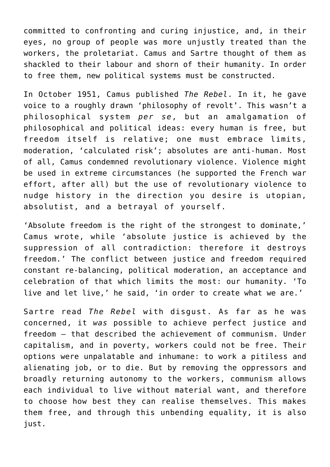committed to confronting and curing injustice, and, in their eyes, no group of people was more unjustly treated than the workers, the proletariat. Camus and Sartre thought of them as shackled to their labour and shorn of their humanity. In order to free them, new political systems must be constructed.

In October 1951, Camus published *The Rebel*. In it, he gave voice to a roughly drawn 'philosophy of revolt'. This wasn't a philosophical system *per se*, but an amalgamation of philosophical and political ideas: every human is free, but freedom itself is relative; one must embrace limits, moderation, 'calculated risk'; absolutes are anti-human. Most of all, Camus condemned revolutionary violence. Violence might be used in extreme circumstances (he supported the French war effort, after all) but the use of revolutionary violence to nudge history in the direction you desire is utopian, absolutist, and a betrayal of yourself.

'Absolute freedom is the right of the strongest to dominate,' Camus wrote, while 'absolute justice is achieved by the suppression of all contradiction: therefore it destroys freedom.' The conflict between justice and freedom required constant re-balancing, political moderation, an acceptance and celebration of that which limits the most: our humanity. 'To live and let live,' he said, 'in order to create what we are.'

Sartre read *The Rebel* with disgust. As far as he was concerned, it *was* possible to achieve perfect justice and freedom – that described the achievement of communism. Under capitalism, and in poverty, workers could not be free. Their options were unpalatable and inhumane: to work a pitiless and alienating job, or to die. But by removing the oppressors and broadly returning autonomy to the workers, communism allows each individual to live without material want, and therefore to choose how best they can realise themselves. This makes them free, and through this unbending equality, it is also just.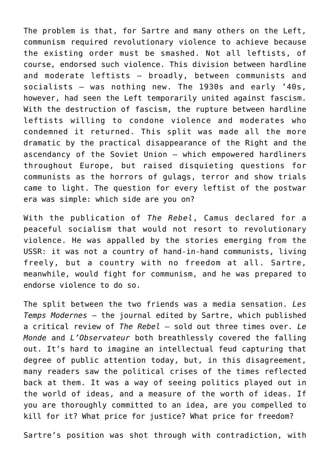The problem is that, for Sartre and many others on the Left, communism required revolutionary violence to achieve because the existing order must be smashed. Not all leftists, of course, endorsed such violence. This division between hardline and moderate leftists – broadly, between communists and socialists – was nothing new. The 1930s and early '40s, however, had seen the Left temporarily united against fascism. With the destruction of fascism, the rupture between hardline leftists willing to condone violence and moderates who condemned it returned. This split was made all the more dramatic by the practical disappearance of the Right and the ascendancy of the Soviet Union – which empowered hardliners throughout Europe, but raised disquieting questions for communists as the horrors of gulags, terror and show trials came to light. The question for every leftist of the postwar era was simple: which side are you on?

With the publication of *The Rebel*, Camus declared for a peaceful socialism that would not resort to revolutionary violence. He was appalled by the stories emerging from the USSR: it was not a country of hand-in-hand communists, living freely, but a country with no freedom at all. Sartre, meanwhile, would fight for communism, and he was prepared to endorse violence to do so.

The split between the two friends was a media sensation. *Les Temps Modernes* – the journal edited by Sartre, which published a critical review of *The Rebel* – sold out three times over. *Le Monde* and *L'Observateur* both breathlessly covered the falling out. It's hard to imagine an intellectual feud capturing that degree of public attention today, but, in this disagreement, many readers saw the political crises of the times reflected back at them. It was a way of seeing politics played out in the world of ideas, and a measure of the worth of ideas. If you are thoroughly committed to an idea, are you compelled to kill for it? What price for justice? What price for freedom?

Sartre's position was shot through with contradiction, with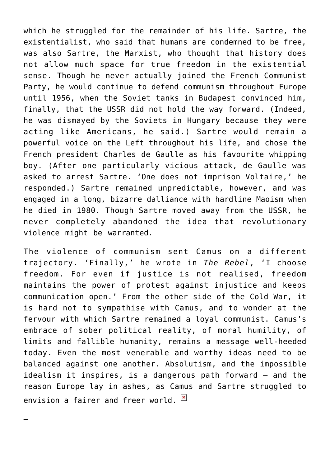which he struggled for the remainder of his life. Sartre, the existentialist, who said that humans are condemned to be free, was also Sartre, the Marxist, who thought that history does not allow much space for true freedom in the existential sense. Though he never actually joined the French Communist Party, he would continue to defend communism throughout Europe until 1956, when the Soviet tanks in Budapest convinced him, finally, that the USSR did not hold the way forward. (Indeed, he was dismayed by the Soviets in Hungary because they were acting like Americans, he said.) Sartre would remain a powerful voice on the Left throughout his life, and chose the French president Charles de Gaulle as his favourite whipping boy. (After one particularly vicious attack, de Gaulle was asked to arrest Sartre. 'One does not imprison Voltaire,' he responded.) Sartre remained unpredictable, however, and was engaged in a long, bizarre dalliance with hardline Maoism when he died in 1980. Though Sartre moved away from the USSR, he never completely abandoned the idea that revolutionary violence might be warranted.

The violence of communism sent Camus on a different trajectory. 'Finally,' he wrote in *The Rebel*, 'I choose freedom. For even if justice is not realised, freedom maintains the power of protest against injustice and keeps communication open.' From the other side of the Cold War, it is hard not to sympathise with Camus, and to wonder at the fervour with which Sartre remained a loyal communist. Camus's embrace of sober political reality, of moral humility, of limits and fallible humanity, remains a message well-heeded today. Even the most venerable and worthy ideas need to be balanced against one another. Absolutism, and the impossible idealism it inspires, is a dangerous path forward – and the reason Europe lay in ashes, as Camus and Sartre struggled to envision a fairer and freer world.  $\boxed{\times}$ 

—